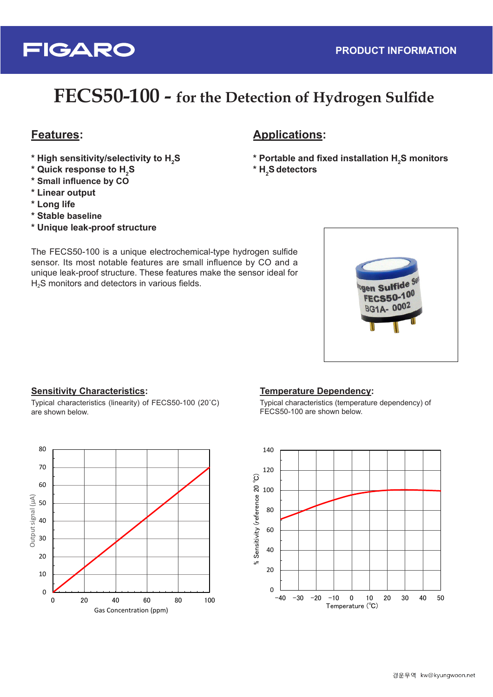

## FECS50-100 - for the Detection of Hydrogen Sulfide

## **:Features**

- $^{\ast}$  High sensitivity/selectivity to  $\mathsf{H}_{\scriptscriptstyle{2}}\mathsf{S}$
- $^{\star}$  Quick response to H<sub>2</sub>S
- $*$  Small influence by CO
- **output Linear\***
- $*$  Long life
- **baseline Stable\***
- \* Unique leak-proof structure

The FECS50-100 is a unique electrochemical-type hydrogen sulfide sensor. Its most notable features are small influence by CO and a unique leak-proof structure. These features make the sensor ideal for  $H<sub>2</sub>S$  monitors and detectors in various fields.

## **:Applications**

- $\boldsymbol{\mu}$  Portable and fixed installation **H**<sub>2</sub>S monitors
- **2H\* Sdetectors**



#### **Sensitivity Characteristics:**

0

10

 $20$ 

30

40

Cutput signal (μA)

Output signal (µA)

50

60

70

80

Typical characteristics (linearity) of FECS50-100 (20°C) are shown below.

0 20 40 60 80 100

Gas Concentration (ppm)



Typical characteristics (temperature dependency) of FECS50-100 are shown below.